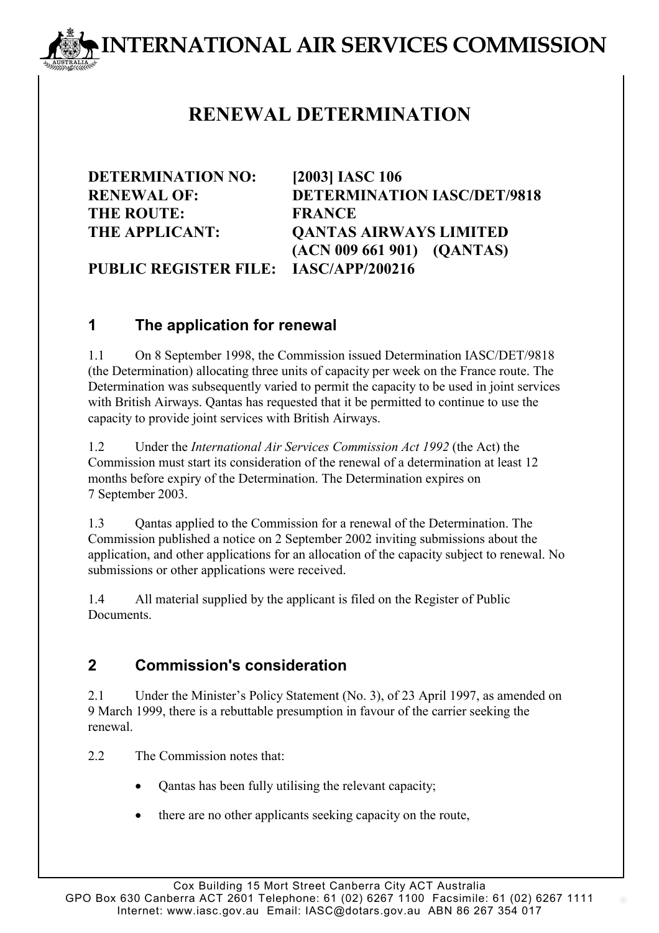# **INTERNATIONAL AIR SERVICES COMMISSION**

## **RENEWAL DETERMINATION**

**DETERMINATION NO: [2003] IASC 106 THE ROUTE: FRANCE**

**RENEWAL OF: DETERMINATION IASC/DET/9818 THE APPLICANT: QANTAS AIRWAYS LIMITED (ACN 009 661 901) (QANTAS)**

**PUBLIC REGISTER FILE: IASC/APP/200216**

### **1 The application for renewal**

1.1 On 8 September 1998, the Commission issued Determination IASC/DET/9818 (the Determination) allocating three units of capacity per week on the France route. The Determination was subsequently varied to permit the capacity to be used in joint services with British Airways. Qantas has requested that it be permitted to continue to use the capacity to provide joint services with British Airways.

1.2 Under the *International Air Services Commission Act 1992* (the Act) the Commission must start its consideration of the renewal of a determination at least 12 months before expiry of the Determination. The Determination expires on 7 September 2003.

1.3 Qantas applied to the Commission for a renewal of the Determination. The Commission published a notice on 2 September 2002 inviting submissions about the application, and other applications for an allocation of the capacity subject to renewal. No submissions or other applications were received.

1.4 All material supplied by the applicant is filed on the Register of Public **Documents** 

### **2 Commission's consideration**

2.1 Under the Minister's Policy Statement (No. 3), of 23 April 1997, as amended on 9 March 1999, there is a rebuttable presumption in favour of the carrier seeking the renewal.

2.2 The Commission notes that:

- Qantas has been fully utilising the relevant capacity;
- there are no other applicants seeking capacity on the route,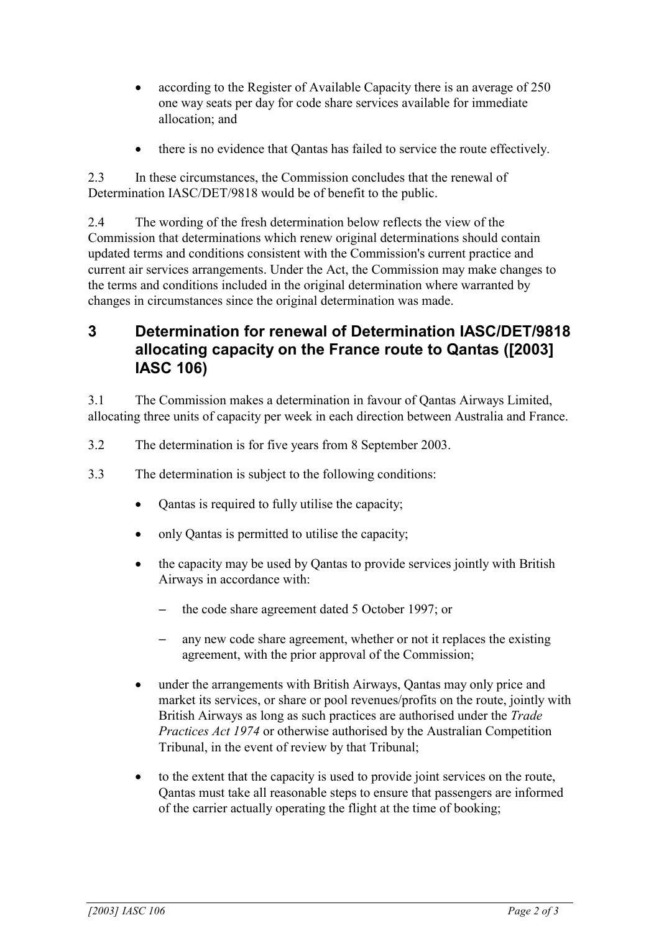- according to the Register of Available Capacity there is an average of 250 one way seats per day for code share services available for immediate allocation; and
- there is no evidence that Qantas has failed to service the route effectively.

2.3 In these circumstances, the Commission concludes that the renewal of Determination IASC/DET/9818 would be of benefit to the public.

2.4 The wording of the fresh determination below reflects the view of the Commission that determinations which renew original determinations should contain updated terms and conditions consistent with the Commission's current practice and current air services arrangements. Under the Act, the Commission may make changes to the terms and conditions included in the original determination where warranted by changes in circumstances since the original determination was made.

#### **3 Determination for renewal of Determination IASC/DET/9818 allocating capacity on the France route to Qantas ([2003] IASC 106)**

3.1 The Commission makes a determination in favour of Qantas Airways Limited, allocating three units of capacity per week in each direction between Australia and France.

- 3.2 The determination is for five years from 8 September 2003.
- 3.3 The determination is subject to the following conditions:
	- Qantas is required to fully utilise the capacity;
	- only Qantas is permitted to utilise the capacity;
	- the capacity may be used by Qantas to provide services jointly with British Airways in accordance with:
		- the code share agreement dated 5 October 1997; or
		- any new code share agreement, whether or not it replaces the existing agreement, with the prior approval of the Commission;
	- under the arrangements with British Airways, Qantas may only price and market its services, or share or pool revenues/profits on the route, jointly with British Airways as long as such practices are authorised under the *Trade Practices Act 1974* or otherwise authorised by the Australian Competition Tribunal, in the event of review by that Tribunal;
	- to the extent that the capacity is used to provide joint services on the route, Qantas must take all reasonable steps to ensure that passengers are informed of the carrier actually operating the flight at the time of booking;